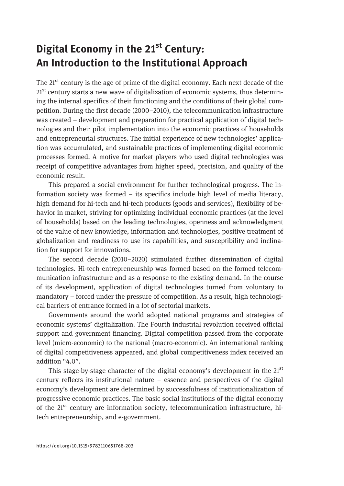## Digital Economy in the 21<sup>st</sup> Century: An Introduction to the Institutional Approach

The 21<sup>st</sup> century is the age of prime of the digital economy. Each next decade of the  $21<sup>st</sup>$  century starts a new wave of digitalization of economic systems, thus determining the internal specifics of their functioning and the conditions of their global competition. During the first decade (2000–2010), the telecommunication infrastructure was created – development and preparation for practical application of digital technologies and their pilot implementation into the economic practices of households and entrepreneurial structures. The initial experience of new technologies' application was accumulated, and sustainable practices of implementing digital economic processes formed. A motive for market players who used digital technologies was receipt of competitive advantages from higher speed, precision, and quality of the economic result.

This prepared a social environment for further technological progress. The information society was formed – its specifics include high level of media literacy, high demand for hi-tech and hi-tech products (goods and services), flexibility of behavior in market, striving for optimizing individual economic practices (at the level of households) based on the leading technologies, openness and acknowledgment of the value of new knowledge, information and technologies, positive treatment of globalization and readiness to use its capabilities, and susceptibility and inclination for support for innovations.

The second decade (2010–2020) stimulated further dissemination of digital technologies. Hi-tech entrepreneurship was formed based on the formed telecommunication infrastructure and as a response to the existing demand. In the course of its development, application of digital technologies turned from voluntary to mandatory – forced under the pressure of competition. As a result, high technological barriers of entrance formed in a lot of sectorial markets.

Governments around the world adopted national programs and strategies of economic systems' digitalization. The Fourth industrial revolution received official support and government financing. Digital competition passed from the corporate level (micro-economic) to the national (macro-economic). An international ranking of digital competitiveness appeared, and global competitiveness index received an addition "4.0".

This stage-by-stage character of the digital economy's development in the  $21<sup>st</sup>$ century reflects its institutional nature – essence and perspectives of the digital economy's development are determined by successfulness of institutionalization of progressive economic practices. The basic social institutions of the digital economy of the  $21^{st}$  century are information society, telecommunication infrastructure, hitech entrepreneurship, and e-government.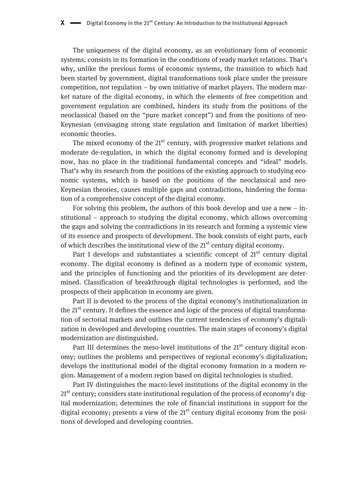The uniqueness of the digital economy, as an evolutionary form of economic systems, consists in its formation in the conditions of ready market relations. That's why, unlike the previous forms of economic systems, the transition to which had been started by government, digital transformations took place under the pressure competition, not regulation – by own initiative of market players. The modern market nature of the digital economy, in which the elements of free competition and government regulation are combined, hinders its study from the positions of the neoclassical (based on the "pure market concept") and from the positions of neo-Keynesian (envisaging strong state regulation and limitation of market liberties) economic theories.

The mixed economy of the  $21<sup>st</sup>$  century, with progressive market relations and moderate de-regulation, in which the digital economy formed and is developing now, has no place in the traditional fundamental concepts and "ideal" models. That's why its research from the positions of the existing approach to studying economic systems, which is based on the positions of the neoclassical and neo-Keynesian theories, causes multiple gaps and contradictions, hindering the formation of a comprehensive concept of the digital economy.

For solving this problem, the authors of this book develop and use a new – institutional – approach to studying the digital economy, which allows overcoming the gaps and solving the contradictions in its research and forming a systemic view of its essence and prospects of development. The book consists of eight parts, each of which describes the institutional view of the  $21<sup>st</sup>$  century digital economy.

Part I develops and substantiates a scientific concept of  $21<sup>st</sup>$  century digital economy. The digital economy is defined as a modern type of economic system, and the principles of functioning and the priorities of its development are determined. Classification of breakthrough digital technologies is performed, and the prospects of their application in economy are given.

Part II is devoted to the process of the digital economy's institutionalization in the  $21^{st}$  century. It defines the essence and logic of the process of digital transformation of sectorial markets and outlines the current tendencies of economy's digitalization in developed and developing countries. The main stages of economy's digital modernization are distinguished.

Part III determines the meso-level institutions of the  $21<sup>st</sup>$  century digital economy; outlines the problems and perspectives of regional economy's digitalization; develops the institutional model of the digital economy formation in a modern region. Management of a modern region based on digital technologies is studied.

Part IV distinguishes the macro-level institutions of the digital economy in the  $21<sup>st</sup>$  century; considers state institutional regulation of the process of economy's digital modernization; determines the role of financial institutions in support for the digital economy; presents a view of the  $21<sup>st</sup>$  century digital economy from the positions of developed and developing countries.